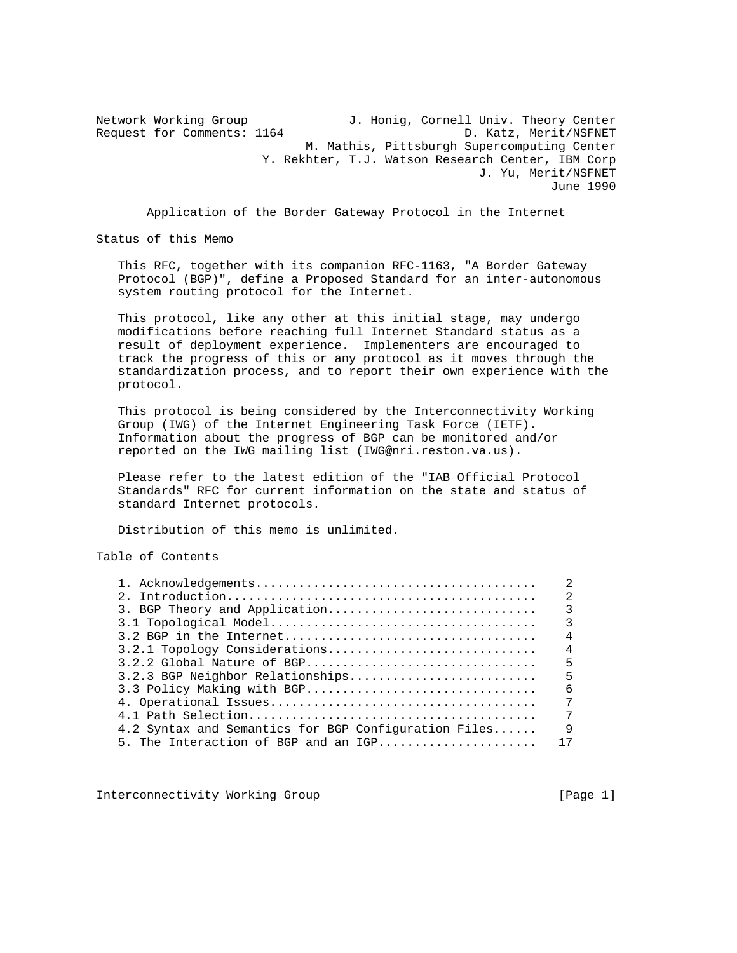Network Working Group J. Honig, Cornell Univ. Theory Center Request for Comments: 1164 D. Katz, Merit/NSFNET M. Mathis, Pittsburgh Supercomputing Center Y. Rekhter, T.J. Watson Research Center, IBM Corp J. Yu, Merit/NSFNET June 1990

Application of the Border Gateway Protocol in the Internet

Status of this Memo

 This RFC, together with its companion RFC-1163, "A Border Gateway Protocol (BGP)", define a Proposed Standard for an inter-autonomous system routing protocol for the Internet.

 This protocol, like any other at this initial stage, may undergo modifications before reaching full Internet Standard status as a result of deployment experience. Implementers are encouraged to track the progress of this or any protocol as it moves through the standardization process, and to report their own experience with the protocol.

 This protocol is being considered by the Interconnectivity Working Group (IWG) of the Internet Engineering Task Force (IETF). Information about the progress of BGP can be monitored and/or reported on the IWG mailing list (IWG@nri.reston.va.us).

 Please refer to the latest edition of the "IAB Official Protocol Standards" RFC for current information on the state and status of standard Internet protocols.

Distribution of this memo is unlimited.

Table of Contents

|                                                      | 2             |
|------------------------------------------------------|---------------|
| 3. BGP Theory and Application                        | $\mathcal{R}$ |
|                                                      | 3             |
|                                                      | 4             |
| 3.2.1 Topology Considerations                        | 4             |
| 3.2.2 Global Nature of BGP                           | 5             |
| 3.2.3 BGP Neighbor Relationships                     | 5             |
| 3.3 Policy Making with BGP                           | 6             |
|                                                      | 7             |
|                                                      | 7             |
| 4.2 Syntax and Semantics for BGP Configuration Files | 9             |
| 5. The Interaction of BGP and an IGP                 | 17            |
|                                                      |               |

Interconnectivity Working Group [Page 1]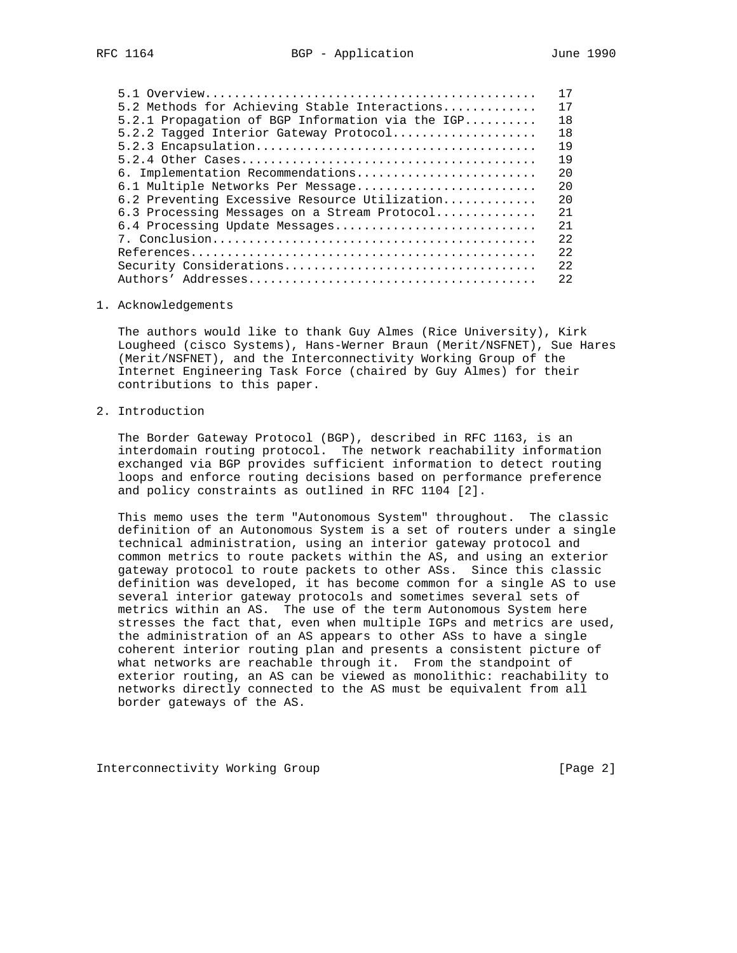|                                                    | 17   |
|----------------------------------------------------|------|
| 5.2 Methods for Achieving Stable Interactions      | 17   |
| $5.2.1$ Propagation of BGP Information via the IGP | 18   |
| 5.2.2 Tagged Interior Gateway Protocol             | 18   |
|                                                    | 19   |
|                                                    | 19   |
| 6. Implementation Recommendations                  | 2.0  |
| 6.1 Multiple Networks Per Message                  | 2.0  |
| 6.2 Preventing Excessive Resource Utilization      | 20   |
| 6.3 Processing Messages on a Stream Protocol       | 2.1  |
| 6.4 Processing Update Messages                     | 2.1  |
|                                                    | 2.2  |
|                                                    | 2.2. |
| Security Considerations                            | 2.2  |
|                                                    | 2.2. |
|                                                    |      |

#### 1. Acknowledgements

 The authors would like to thank Guy Almes (Rice University), Kirk Lougheed (cisco Systems), Hans-Werner Braun (Merit/NSFNET), Sue Hares (Merit/NSFNET), and the Interconnectivity Working Group of the Internet Engineering Task Force (chaired by Guy Almes) for their contributions to this paper.

# 2. Introduction

 The Border Gateway Protocol (BGP), described in RFC 1163, is an interdomain routing protocol. The network reachability information exchanged via BGP provides sufficient information to detect routing loops and enforce routing decisions based on performance preference and policy constraints as outlined in RFC 1104 [2].

 This memo uses the term "Autonomous System" throughout. The classic definition of an Autonomous System is a set of routers under a single technical administration, using an interior gateway protocol and common metrics to route packets within the AS, and using an exterior gateway protocol to route packets to other ASs. Since this classic definition was developed, it has become common for a single AS to use several interior gateway protocols and sometimes several sets of metrics within an AS. The use of the term Autonomous System here stresses the fact that, even when multiple IGPs and metrics are used, the administration of an AS appears to other ASs to have a single coherent interior routing plan and presents a consistent picture of what networks are reachable through it. From the standpoint of exterior routing, an AS can be viewed as monolithic: reachability to networks directly connected to the AS must be equivalent from all border gateways of the AS.

Interconnectivity Working Group [Page 2]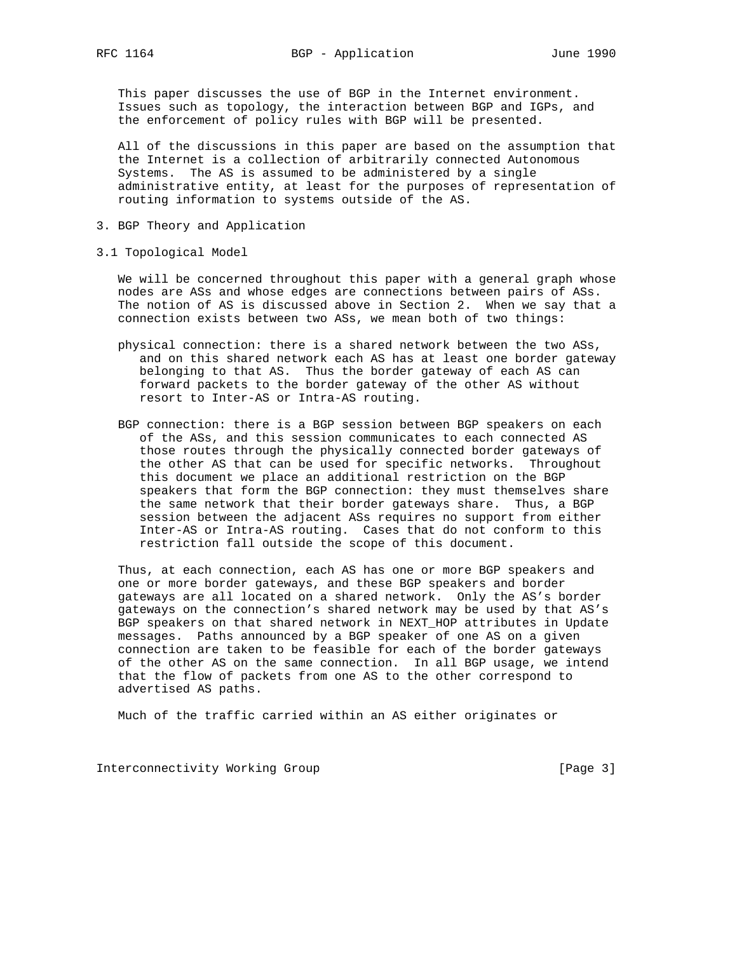This paper discusses the use of BGP in the Internet environment. Issues such as topology, the interaction between BGP and IGPs, and the enforcement of policy rules with BGP will be presented.

 All of the discussions in this paper are based on the assumption that the Internet is a collection of arbitrarily connected Autonomous Systems. The AS is assumed to be administered by a single administrative entity, at least for the purposes of representation of routing information to systems outside of the AS.

- 3. BGP Theory and Application
- 3.1 Topological Model

 We will be concerned throughout this paper with a general graph whose nodes are ASs and whose edges are connections between pairs of ASs. The notion of AS is discussed above in Section 2. When we say that a connection exists between two ASs, we mean both of two things:

- physical connection: there is a shared network between the two ASs, and on this shared network each AS has at least one border gateway belonging to that AS. Thus the border gateway of each AS can forward packets to the border gateway of the other AS without resort to Inter-AS or Intra-AS routing.
- BGP connection: there is a BGP session between BGP speakers on each of the ASs, and this session communicates to each connected AS those routes through the physically connected border gateways of the other AS that can be used for specific networks. Throughout this document we place an additional restriction on the BGP speakers that form the BGP connection: they must themselves share the same network that their border gateways share. Thus, a BGP session between the adjacent ASs requires no support from either Inter-AS or Intra-AS routing. Cases that do not conform to this restriction fall outside the scope of this document.

 Thus, at each connection, each AS has one or more BGP speakers and one or more border gateways, and these BGP speakers and border gateways are all located on a shared network. Only the AS's border gateways on the connection's shared network may be used by that AS's BGP speakers on that shared network in NEXT\_HOP attributes in Update messages. Paths announced by a BGP speaker of one AS on a given connection are taken to be feasible for each of the border gateways of the other AS on the same connection. In all BGP usage, we intend that the flow of packets from one AS to the other correspond to advertised AS paths.

Much of the traffic carried within an AS either originates or

Interconnectivity Working Group [Page 3]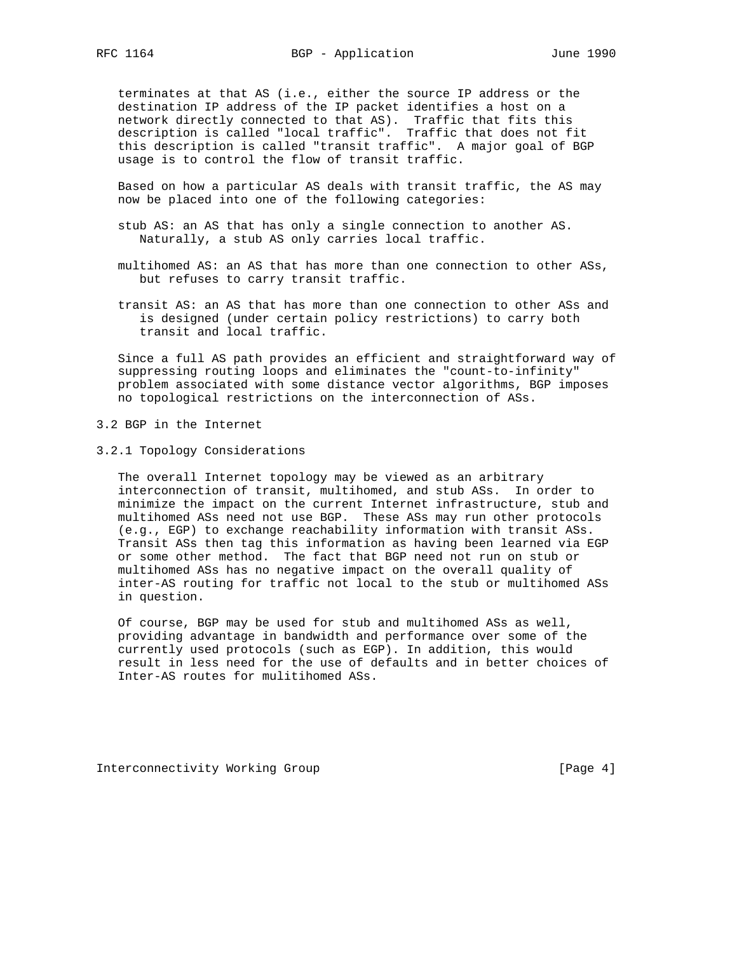terminates at that AS (i.e., either the source IP address or the destination IP address of the IP packet identifies a host on a network directly connected to that AS). Traffic that fits this description is called "local traffic". Traffic that does not fit this description is called "transit traffic". A major goal of BGP usage is to control the flow of transit traffic.

 Based on how a particular AS deals with transit traffic, the AS may now be placed into one of the following categories:

- stub AS: an AS that has only a single connection to another AS. Naturally, a stub AS only carries local traffic.
- multihomed AS: an AS that has more than one connection to other ASs, but refuses to carry transit traffic.
- transit AS: an AS that has more than one connection to other ASs and is designed (under certain policy restrictions) to carry both transit and local traffic.

 Since a full AS path provides an efficient and straightforward way of suppressing routing loops and eliminates the "count-to-infinity" problem associated with some distance vector algorithms, BGP imposes no topological restrictions on the interconnection of ASs.

- 3.2 BGP in the Internet
- 3.2.1 Topology Considerations

 The overall Internet topology may be viewed as an arbitrary interconnection of transit, multihomed, and stub ASs. In order to minimize the impact on the current Internet infrastructure, stub and multihomed ASs need not use BGP. These ASs may run other protocols (e.g., EGP) to exchange reachability information with transit ASs. Transit ASs then tag this information as having been learned via EGP or some other method. The fact that BGP need not run on stub or multihomed ASs has no negative impact on the overall quality of inter-AS routing for traffic not local to the stub or multihomed ASs in question.

 Of course, BGP may be used for stub and multihomed ASs as well, providing advantage in bandwidth and performance over some of the currently used protocols (such as EGP). In addition, this would result in less need for the use of defaults and in better choices of Inter-AS routes for mulitihomed ASs.

Interconnectivity Working Group [Page 4]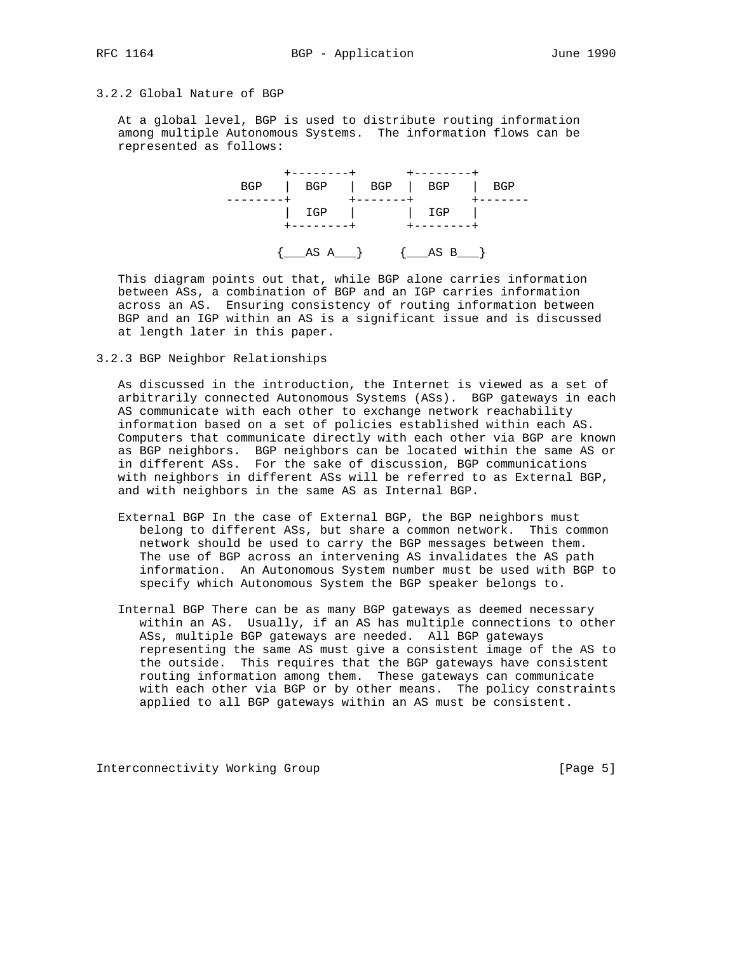# 3.2.2 Global Nature of BGP

 At a global level, BGP is used to distribute routing information among multiple Autonomous Systems. The information flows can be represented as follows:



 This diagram points out that, while BGP alone carries information between ASs, a combination of BGP and an IGP carries information across an AS. Ensuring consistency of routing information between BGP and an IGP within an AS is a significant issue and is discussed at length later in this paper.

3.2.3 BGP Neighbor Relationships

 As discussed in the introduction, the Internet is viewed as a set of arbitrarily connected Autonomous Systems (ASs). BGP gateways in each AS communicate with each other to exchange network reachability information based on a set of policies established within each AS. Computers that communicate directly with each other via BGP are known as BGP neighbors. BGP neighbors can be located within the same AS or in different ASs. For the sake of discussion, BGP communications with neighbors in different ASs will be referred to as External BGP, and with neighbors in the same AS as Internal BGP.

- External BGP In the case of External BGP, the BGP neighbors must belong to different ASs, but share a common network. This common network should be used to carry the BGP messages between them. The use of BGP across an intervening AS invalidates the AS path information. An Autonomous System number must be used with BGP to specify which Autonomous System the BGP speaker belongs to.
- Internal BGP There can be as many BGP gateways as deemed necessary within an AS. Usually, if an AS has multiple connections to other ASs, multiple BGP gateways are needed. All BGP gateways representing the same AS must give a consistent image of the AS to the outside. This requires that the BGP gateways have consistent routing information among them. These gateways can communicate with each other via BGP or by other means. The policy constraints applied to all BGP gateways within an AS must be consistent.

Interconnectivity Working Group [Page 5]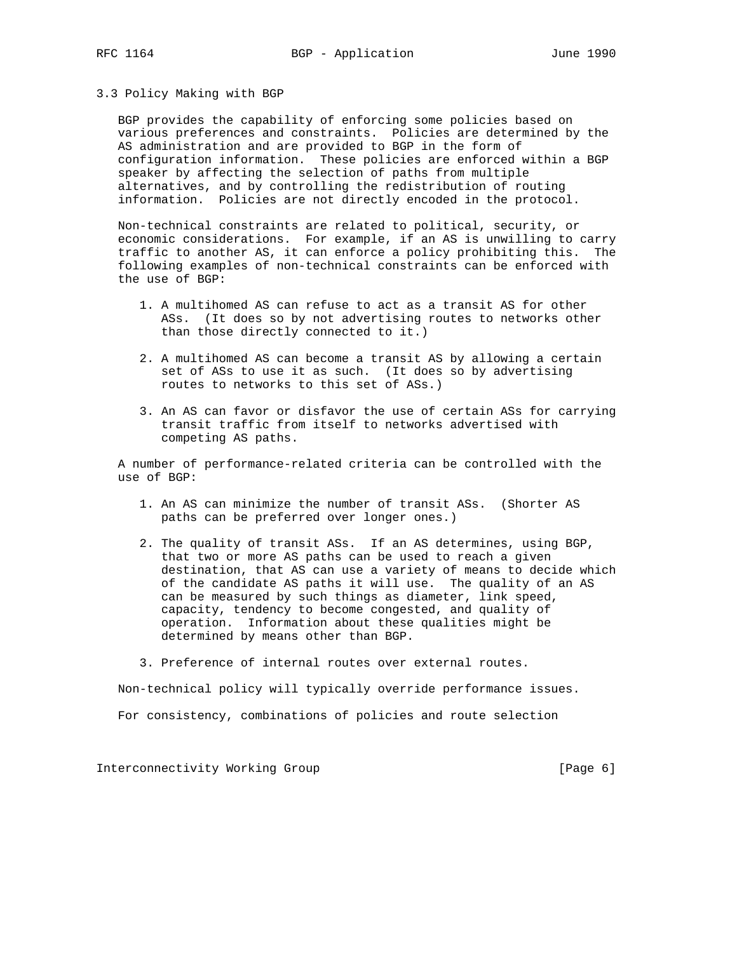# 3.3 Policy Making with BGP

 BGP provides the capability of enforcing some policies based on various preferences and constraints. Policies are determined by the AS administration and are provided to BGP in the form of configuration information. These policies are enforced within a BGP speaker by affecting the selection of paths from multiple alternatives, and by controlling the redistribution of routing information. Policies are not directly encoded in the protocol.

 Non-technical constraints are related to political, security, or economic considerations. For example, if an AS is unwilling to carry traffic to another AS, it can enforce a policy prohibiting this. The following examples of non-technical constraints can be enforced with the use of BGP:

- 1. A multihomed AS can refuse to act as a transit AS for other ASs. (It does so by not advertising routes to networks other than those directly connected to it.)
- 2. A multihomed AS can become a transit AS by allowing a certain set of ASs to use it as such. (It does so by advertising routes to networks to this set of ASs.)
- 3. An AS can favor or disfavor the use of certain ASs for carrying transit traffic from itself to networks advertised with competing AS paths.

 A number of performance-related criteria can be controlled with the use of BGP:

- 1. An AS can minimize the number of transit ASs. (Shorter AS paths can be preferred over longer ones.)
- 2. The quality of transit ASs. If an AS determines, using BGP, that two or more AS paths can be used to reach a given destination, that AS can use a variety of means to decide which of the candidate AS paths it will use. The quality of an AS can be measured by such things as diameter, link speed, capacity, tendency to become congested, and quality of operation. Information about these qualities might be determined by means other than BGP.
- 3. Preference of internal routes over external routes.

Non-technical policy will typically override performance issues.

For consistency, combinations of policies and route selection

Interconnectivity Working Group [Page 6]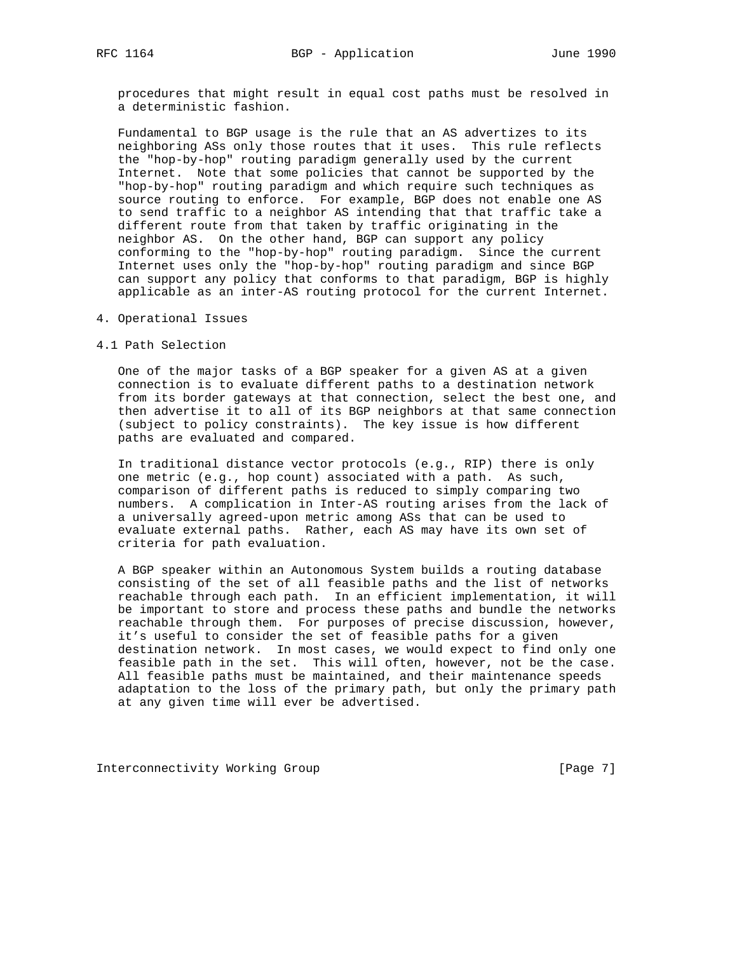procedures that might result in equal cost paths must be resolved in a deterministic fashion.

 Fundamental to BGP usage is the rule that an AS advertizes to its neighboring ASs only those routes that it uses. This rule reflects the "hop-by-hop" routing paradigm generally used by the current Internet. Note that some policies that cannot be supported by the "hop-by-hop" routing paradigm and which require such techniques as source routing to enforce. For example, BGP does not enable one AS to send traffic to a neighbor AS intending that that traffic take a different route from that taken by traffic originating in the neighbor AS. On the other hand, BGP can support any policy conforming to the "hop-by-hop" routing paradigm. Since the current Internet uses only the "hop-by-hop" routing paradigm and since BGP can support any policy that conforms to that paradigm, BGP is highly applicable as an inter-AS routing protocol for the current Internet.

- 4. Operational Issues
- 4.1 Path Selection

 One of the major tasks of a BGP speaker for a given AS at a given connection is to evaluate different paths to a destination network from its border gateways at that connection, select the best one, and then advertise it to all of its BGP neighbors at that same connection (subject to policy constraints). The key issue is how different paths are evaluated and compared.

 In traditional distance vector protocols (e.g., RIP) there is only one metric (e.g., hop count) associated with a path. As such, comparison of different paths is reduced to simply comparing two numbers. A complication in Inter-AS routing arises from the lack of a universally agreed-upon metric among ASs that can be used to evaluate external paths. Rather, each AS may have its own set of criteria for path evaluation.

 A BGP speaker within an Autonomous System builds a routing database consisting of the set of all feasible paths and the list of networks reachable through each path. In an efficient implementation, it will be important to store and process these paths and bundle the networks reachable through them. For purposes of precise discussion, however, it's useful to consider the set of feasible paths for a given destination network. In most cases, we would expect to find only one feasible path in the set. This will often, however, not be the case. All feasible paths must be maintained, and their maintenance speeds adaptation to the loss of the primary path, but only the primary path at any given time will ever be advertised.

Interconnectivity Working Group [Page 7]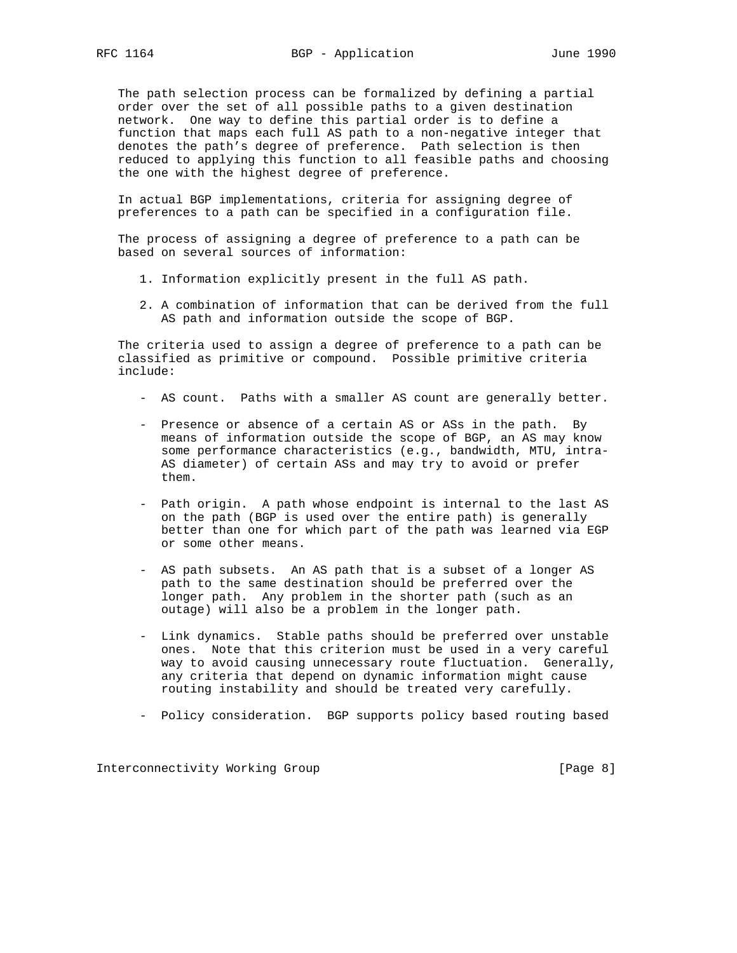The path selection process can be formalized by defining a partial order over the set of all possible paths to a given destination network. One way to define this partial order is to define a function that maps each full AS path to a non-negative integer that denotes the path's degree of preference. Path selection is then reduced to applying this function to all feasible paths and choosing the one with the highest degree of preference.

 In actual BGP implementations, criteria for assigning degree of preferences to a path can be specified in a configuration file.

 The process of assigning a degree of preference to a path can be based on several sources of information:

- 1. Information explicitly present in the full AS path.
- 2. A combination of information that can be derived from the full AS path and information outside the scope of BGP.

 The criteria used to assign a degree of preference to a path can be classified as primitive or compound. Possible primitive criteria include:

- AS count. Paths with a smaller AS count are generally better.
- Presence or absence of a certain AS or ASs in the path. By means of information outside the scope of BGP, an AS may know some performance characteristics (e.g., bandwidth, MTU, intra- AS diameter) of certain ASs and may try to avoid or prefer them.
- Path origin. A path whose endpoint is internal to the last AS on the path (BGP is used over the entire path) is generally better than one for which part of the path was learned via EGP or some other means.
- AS path subsets. An AS path that is a subset of a longer AS path to the same destination should be preferred over the longer path. Any problem in the shorter path (such as an outage) will also be a problem in the longer path.
- Link dynamics. Stable paths should be preferred over unstable ones. Note that this criterion must be used in a very careful way to avoid causing unnecessary route fluctuation. Generally, any criteria that depend on dynamic information might cause routing instability and should be treated very carefully.
- Policy consideration. BGP supports policy based routing based

Interconnectivity Working Group [Page 8]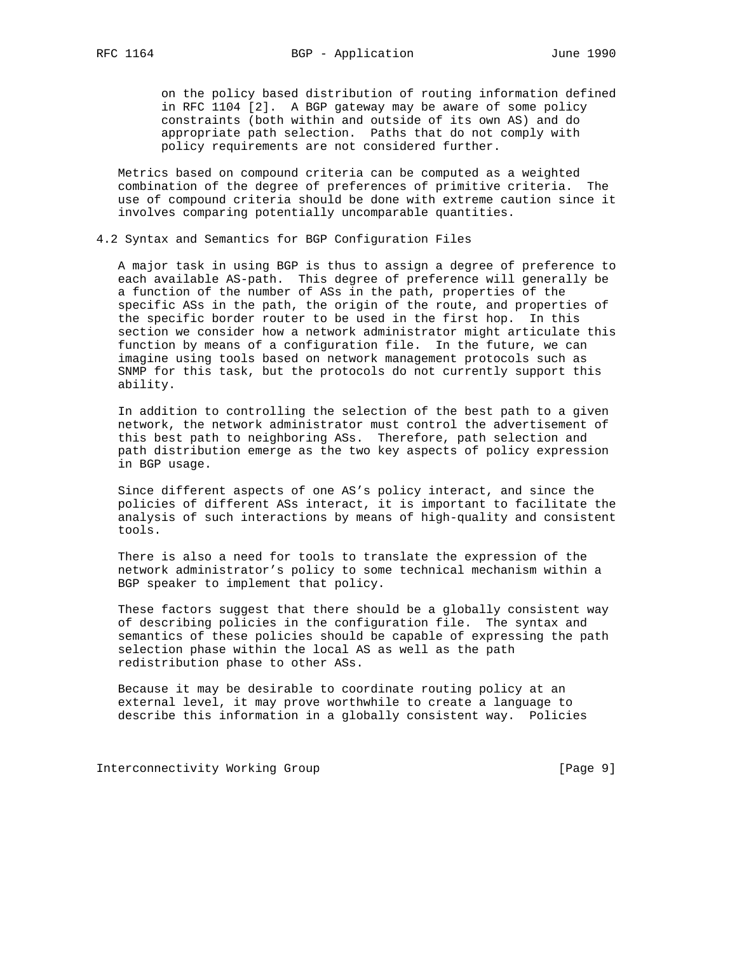on the policy based distribution of routing information defined in RFC 1104 [2]. A BGP gateway may be aware of some policy constraints (both within and outside of its own AS) and do appropriate path selection. Paths that do not comply with policy requirements are not considered further.

 Metrics based on compound criteria can be computed as a weighted combination of the degree of preferences of primitive criteria. The use of compound criteria should be done with extreme caution since it involves comparing potentially uncomparable quantities.

4.2 Syntax and Semantics for BGP Configuration Files

 A major task in using BGP is thus to assign a degree of preference to each available AS-path. This degree of preference will generally be a function of the number of ASs in the path, properties of the specific ASs in the path, the origin of the route, and properties of the specific border router to be used in the first hop. In this section we consider how a network administrator might articulate this function by means of a configuration file. In the future, we can imagine using tools based on network management protocols such as SNMP for this task, but the protocols do not currently support this ability.

 In addition to controlling the selection of the best path to a given network, the network administrator must control the advertisement of this best path to neighboring ASs. Therefore, path selection and path distribution emerge as the two key aspects of policy expression in BGP usage.

 Since different aspects of one AS's policy interact, and since the policies of different ASs interact, it is important to facilitate the analysis of such interactions by means of high-quality and consistent tools.

 There is also a need for tools to translate the expression of the network administrator's policy to some technical mechanism within a BGP speaker to implement that policy.

 These factors suggest that there should be a globally consistent way of describing policies in the configuration file. The syntax and semantics of these policies should be capable of expressing the path selection phase within the local AS as well as the path redistribution phase to other ASs.

 Because it may be desirable to coordinate routing policy at an external level, it may prove worthwhile to create a language to describe this information in a globally consistent way. Policies

Interconnectivity Working Group [Page 9]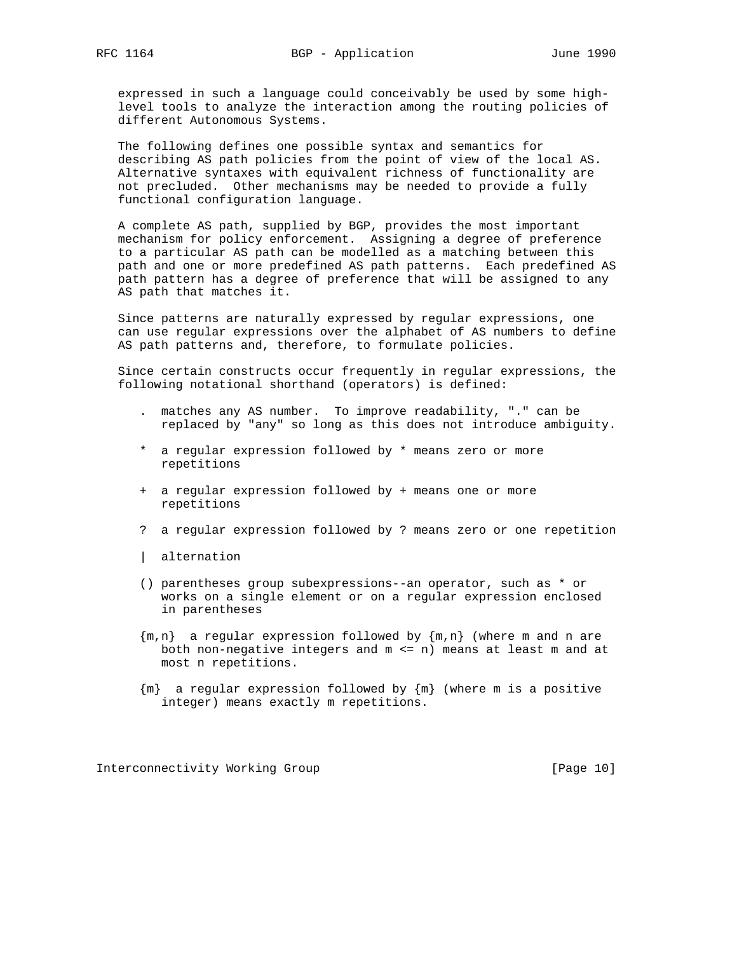expressed in such a language could conceivably be used by some high level tools to analyze the interaction among the routing policies of different Autonomous Systems.

 The following defines one possible syntax and semantics for describing AS path policies from the point of view of the local AS. Alternative syntaxes with equivalent richness of functionality are not precluded. Other mechanisms may be needed to provide a fully functional configuration language.

 A complete AS path, supplied by BGP, provides the most important mechanism for policy enforcement. Assigning a degree of preference to a particular AS path can be modelled as a matching between this path and one or more predefined AS path patterns. Each predefined AS path pattern has a degree of preference that will be assigned to any AS path that matches it.

 Since patterns are naturally expressed by regular expressions, one can use regular expressions over the alphabet of AS numbers to define AS path patterns and, therefore, to formulate policies.

 Since certain constructs occur frequently in regular expressions, the following notational shorthand (operators) is defined:

- . matches any AS number. To improve readability, "." can be replaced by "any" so long as this does not introduce ambiguity.
- \* a regular expression followed by \* means zero or more repetitions
- + a regular expression followed by + means one or more repetitions
- ? a regular expression followed by ? means zero or one repetition
- | alternation
- () parentheses group subexpressions--an operator, such as \* or works on a single element or on a regular expression enclosed in parentheses
- $\{m,n\}$  a regular expression followed by  $\{m,n\}$  (where m and n are both non-negative integers and m <= n) means at least m and at most n repetitions.
- {m} a regular expression followed by {m} (where m is a positive integer) means exactly m repetitions.

Interconnectivity Working Group [Page 10]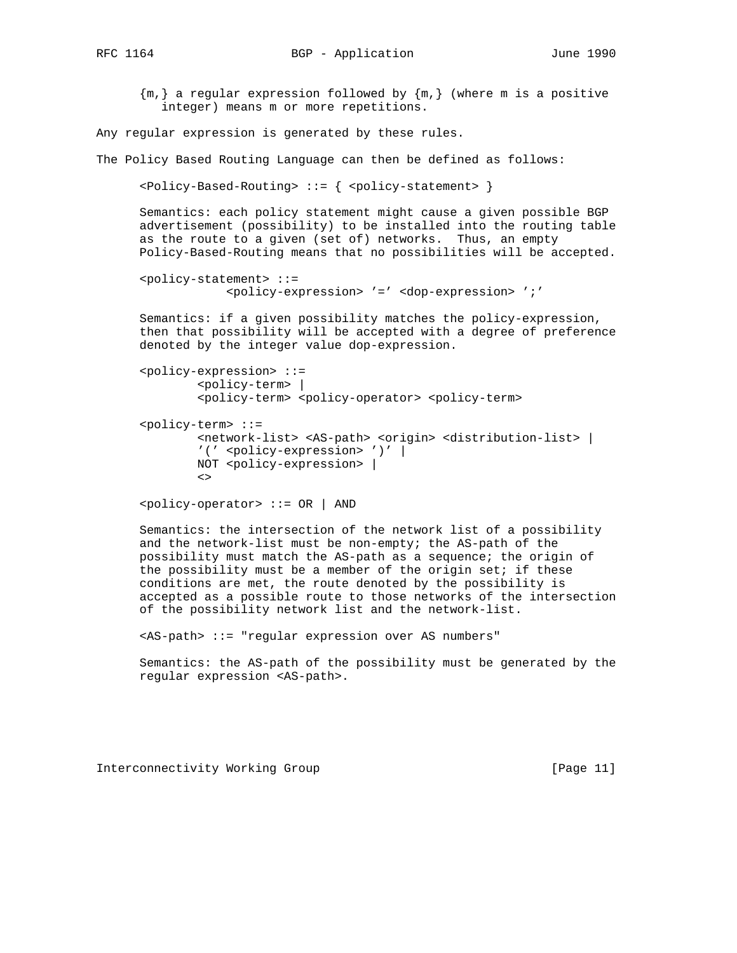$\{m, \}$  a regular expression followed by  $\{m, \}$  (where m is a positive integer) means m or more repetitions.

Any regular expression is generated by these rules.

The Policy Based Routing Language can then be defined as follows:

```
\left\{\text{Policy-Based-Routing} > : : \right\} <policy-statement> }
```
 Semantics: each policy statement might cause a given possible BGP advertisement (possibility) to be installed into the routing table as the route to a given (set of) networks. Thus, an empty Policy-Based-Routing means that no possibilities will be accepted.

```
 <policy-statement> ::=
             <policy-expression> '=' <dop-expression> ';'
```
 Semantics: if a given possibility matches the policy-expression, then that possibility will be accepted with a degree of preference denoted by the integer value dop-expression.

```
 <policy-expression> ::=
                     <policy-term> |
                     <policy-term> <policy-operator> <policy-term>
         <policy-term> ::=
                     <network-list> <AS-path> <origin> <distribution-list> |
                    '(' <policy-expression> ')' |
                   NOT <policy-expression> |
\langle \cdot \rangle_{\mathcal{A}} = \langle \cdot \rangle_{\mathcal{A}} \langle \cdot \rangle_{\mathcal{A}}
```
<policy-operator> ::= OR | AND

 Semantics: the intersection of the network list of a possibility and the network-list must be non-empty; the AS-path of the possibility must match the AS-path as a sequence; the origin of the possibility must be a member of the origin set; if these conditions are met, the route denoted by the possibility is accepted as a possible route to those networks of the intersection of the possibility network list and the network-list.

<AS-path> ::= "regular expression over AS numbers"

 Semantics: the AS-path of the possibility must be generated by the regular expression <AS-path>.

Interconnectivity Working Group [Page 11]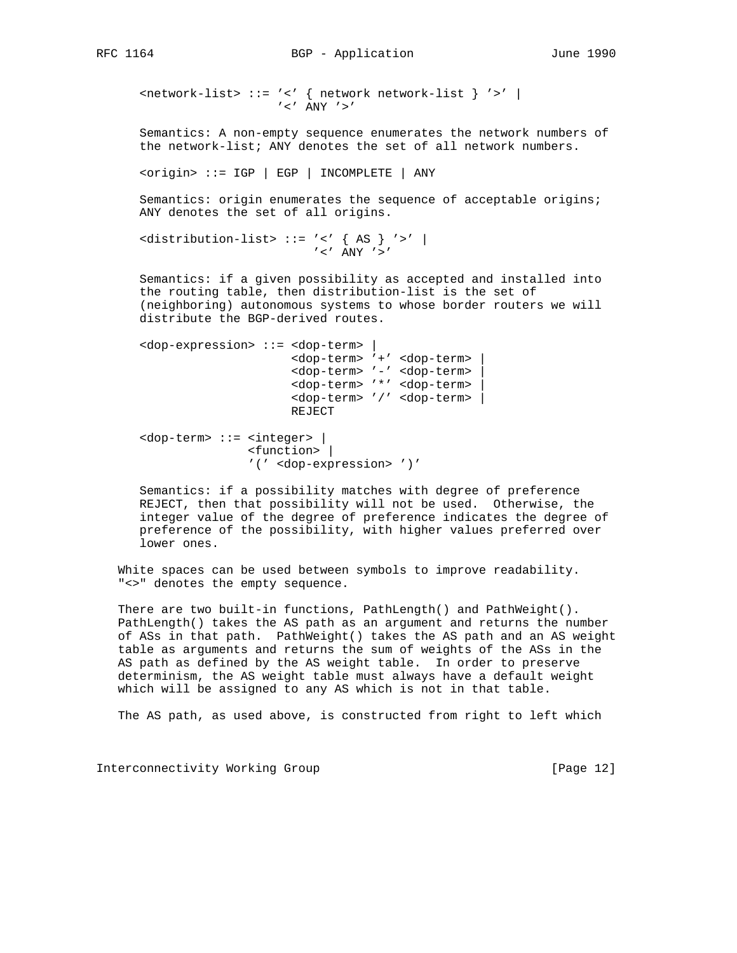<network-list> ::= '<' { network network-list } '>' |  $^{\prime}$  <  $^{\prime}$   $\,$  ANY  $\,$   $^{\prime}$   $>$   $^{\prime}$ 

 Semantics: A non-empty sequence enumerates the network numbers of the network-list; ANY denotes the set of all network numbers.

```
 <origin> ::= IGP | EGP | INCOMPLETE | ANY
```
 Semantics: origin enumerates the sequence of acceptable origins; ANY denotes the set of all origins.

```
 <distribution-list> ::= '<' { AS } '>' |
                                  \prime < \prime ANY \prime > \prime
```
 Semantics: if a given possibility as accepted and installed into the routing table, then distribution-list is the set of (neighboring) autonomous systems to whose border routers we will distribute the BGP-derived routes.

```
 <dop-expression> ::= <dop-term> |
                       <dop-term> '+' <dop-term> |
                       <dop-term> '-' <dop-term> |
                       <dop-term> '*' <dop-term> |
                       <dop-term> '/' <dop-term> |
                       REJECT
 <dop-term> ::= <integer> |
                 <function> |
                 '(' <dop-expression> ')'
```
 Semantics: if a possibility matches with degree of preference REJECT, then that possibility will not be used. Otherwise, the integer value of the degree of preference indicates the degree of preference of the possibility, with higher values preferred over lower ones.

 White spaces can be used between symbols to improve readability. "<>" denotes the empty sequence.

 There are two built-in functions, PathLength() and PathWeight(). PathLength() takes the AS path as an argument and returns the number of ASs in that path. PathWeight() takes the AS path and an AS weight table as arguments and returns the sum of weights of the ASs in the AS path as defined by the AS weight table. In order to preserve determinism, the AS weight table must always have a default weight which will be assigned to any AS which is not in that table.

The AS path, as used above, is constructed from right to left which

Interconnectivity Working Group [Page 12]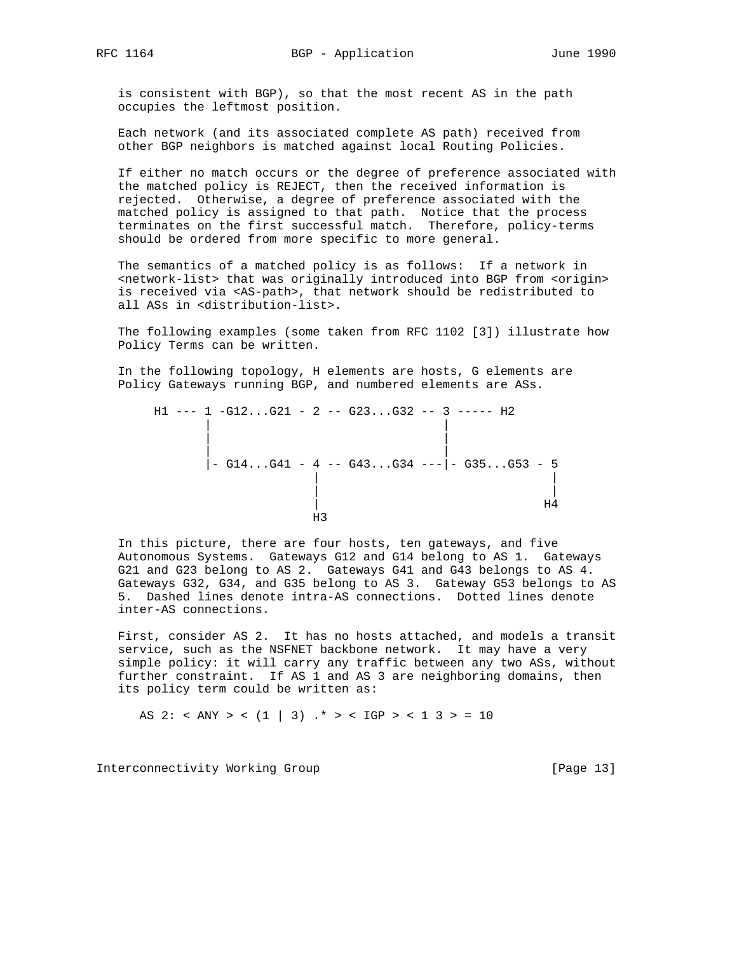is consistent with BGP), so that the most recent AS in the path occupies the leftmost position.

 Each network (and its associated complete AS path) received from other BGP neighbors is matched against local Routing Policies.

 If either no match occurs or the degree of preference associated with the matched policy is REJECT, then the received information is rejected. Otherwise, a degree of preference associated with the matched policy is assigned to that path. Notice that the process terminates on the first successful match. Therefore, policy-terms should be ordered from more specific to more general.

 The semantics of a matched policy is as follows: If a network in <network-list> that was originally introduced into BGP from <origin> is received via <AS-path>, that network should be redistributed to all ASs in <distribution-list>.

 The following examples (some taken from RFC 1102 [3]) illustrate how Policy Terms can be written.

 In the following topology, H elements are hosts, G elements are Policy Gateways running BGP, and numbered elements are ASs.

|  |  |  |  |  | $H1$ --- 1 -G12G21 - 2 -- G23G32 -- 3 ----- H2          |    |
|--|--|--|--|--|---------------------------------------------------------|----|
|  |  |  |  |  |                                                         |    |
|  |  |  |  |  |                                                         |    |
|  |  |  |  |  |                                                         |    |
|  |  |  |  |  | $\vert$ - G14G41 - 4 -- G43G34 --- $\vert$ - G35G53 - 5 |    |
|  |  |  |  |  |                                                         |    |
|  |  |  |  |  |                                                         |    |
|  |  |  |  |  |                                                         | Η4 |
|  |  |  |  |  |                                                         |    |
|  |  |  |  |  |                                                         |    |

 In this picture, there are four hosts, ten gateways, and five Autonomous Systems. Gateways G12 and G14 belong to AS 1. Gateways G21 and G23 belong to AS 2. Gateways G41 and G43 belongs to AS 4. Gateways G32, G34, and G35 belong to AS 3. Gateway G53 belongs to AS 5. Dashed lines denote intra-AS connections. Dotted lines denote inter-AS connections.

 First, consider AS 2. It has no hosts attached, and models a transit service, such as the NSFNET backbone network. It may have a very simple policy: it will carry any traffic between any two ASs, without further constraint. If AS 1 and AS 3 are neighboring domains, then its policy term could be written as:

AS 2: < ANY > <  $(1 | 3)$  .\* > < IGP > < 1 3 > = 10

Interconnectivity Working Group [Page 13]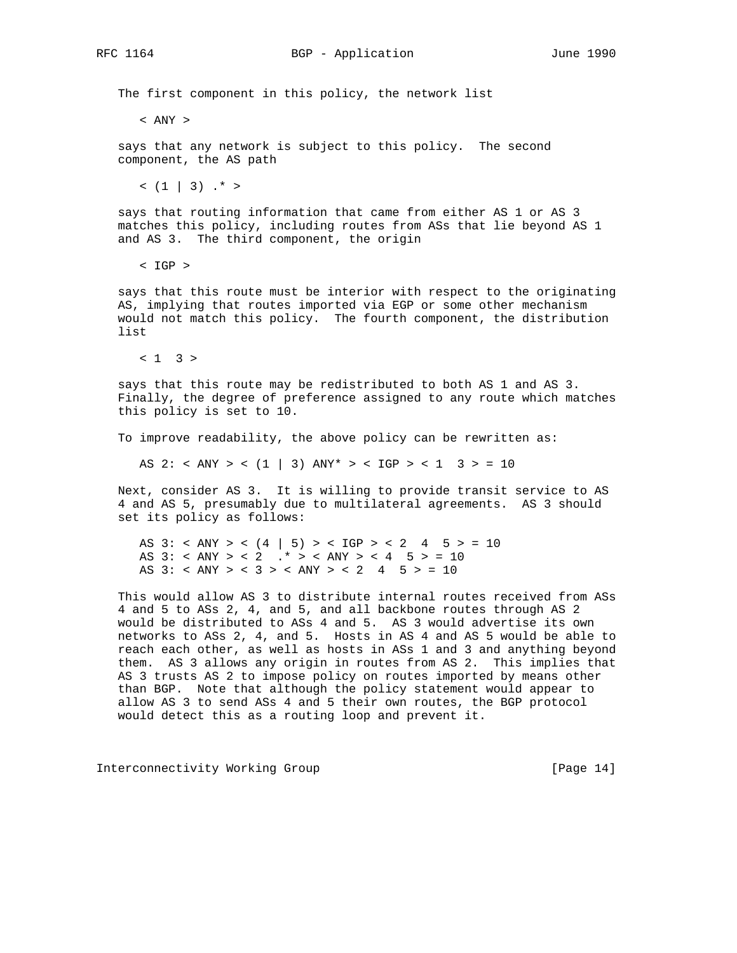The first component in this policy, the network list

< ANY >

 says that any network is subject to this policy. The second component, the AS path

 $(1 | 3)$  .\* >

 says that routing information that came from either AS 1 or AS 3 matches this policy, including routes from ASs that lie beyond AS 1 and AS 3. The third component, the origin

< IGP >

 says that this route must be interior with respect to the originating AS, implying that routes imported via EGP or some other mechanism would not match this policy. The fourth component, the distribution list

 $< 1$  3 >

 says that this route may be redistributed to both AS 1 and AS 3. Finally, the degree of preference assigned to any route which matches this policy is set to 10.

To improve readability, the above policy can be rewritten as:

AS 2: < ANY > <  $(1 | 3)$  ANY\* > <  $IGP$  > <  $1 3$  > =  $10$ 

 Next, consider AS 3. It is willing to provide transit service to AS 4 and AS 5, presumably due to multilateral agreements. AS 3 should set its policy as follows:

 AS 3: < ANY > < (4 | 5) > < IGP > < 2 4 5 > = 10 AS 3: < ANY > < 2  $.*$  > < ANY > < 4 5 > = 10 AS  $3: < ANY > < 3 > < ANY > < 2$  4 5  $> = 10$ 

 This would allow AS 3 to distribute internal routes received from ASs 4 and 5 to ASs 2, 4, and 5, and all backbone routes through AS 2 would be distributed to ASs 4 and 5. AS 3 would advertise its own networks to ASs 2, 4, and 5. Hosts in AS 4 and AS 5 would be able to reach each other, as well as hosts in ASs 1 and 3 and anything beyond them. AS 3 allows any origin in routes from AS 2. This implies that AS 3 trusts AS 2 to impose policy on routes imported by means other than BGP. Note that although the policy statement would appear to allow AS 3 to send ASs 4 and 5 their own routes, the BGP protocol would detect this as a routing loop and prevent it.

Interconnectivity Working Group [Page 14]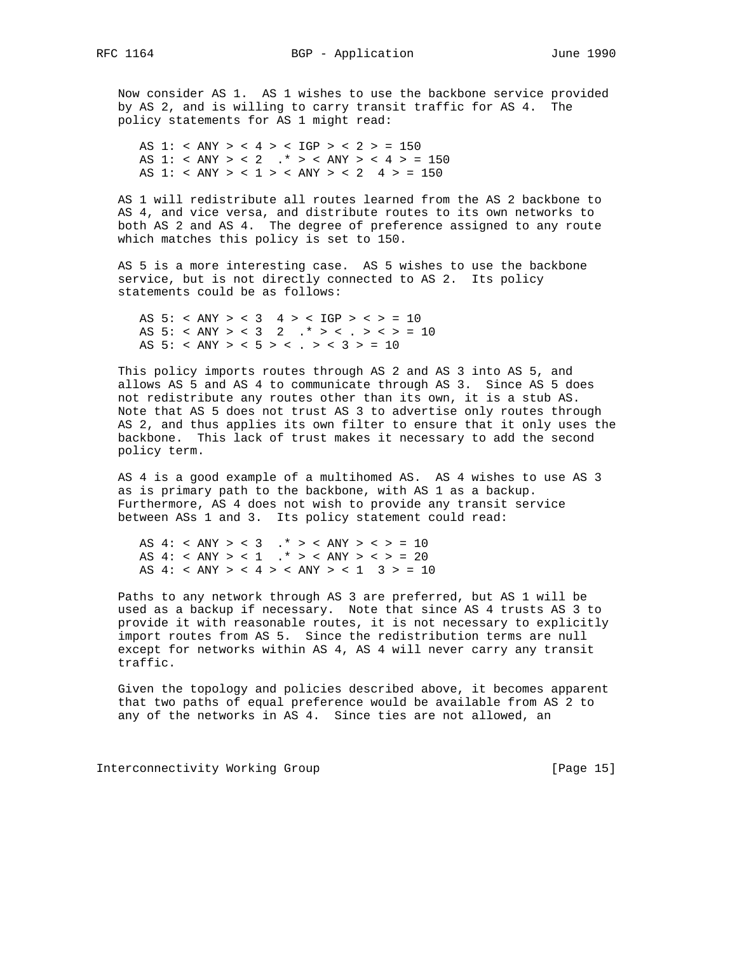Now consider AS 1. AS 1 wishes to use the backbone service provided by AS 2, and is willing to carry transit traffic for AS 4. The policy statements for AS 1 might read:

 AS 1: < ANY > < 4 > < IGP > < 2 > = 150 AS 1: < ANY > < 2  $.*$  > < ANY > < 4 > = 150 AS 1: < ANY > < 1 > < ANY > < 2 4 > = 150

 AS 1 will redistribute all routes learned from the AS 2 backbone to AS 4, and vice versa, and distribute routes to its own networks to both AS 2 and AS 4. The degree of preference assigned to any route which matches this policy is set to 150.

 AS 5 is a more interesting case. AS 5 wishes to use the backbone service, but is not directly connected to AS 2. Its policy statements could be as follows:

AS  $5: < ANY > < 3$  4 > < IGP > < > = 10 AS 5: < ANY > < 3 2 .\* > < . > < > = 10 AS 5: < ANY > < 5 > < . > < 3 > = 10

 This policy imports routes through AS 2 and AS 3 into AS 5, and allows AS 5 and AS 4 to communicate through AS 3. Since AS 5 does not redistribute any routes other than its own, it is a stub AS. Note that AS 5 does not trust AS 3 to advertise only routes through AS 2, and thus applies its own filter to ensure that it only uses the backbone. This lack of trust makes it necessary to add the second policy term.

 AS 4 is a good example of a multihomed AS. AS 4 wishes to use AS 3 as is primary path to the backbone, with AS 1 as a backup. Furthermore, AS 4 does not wish to provide any transit service between ASs 1 and 3. Its policy statement could read:

AS  $4: < ANY > < 3$  .\* > < ANY > < > = 10 AS  $4: < ANY > < 1$  .\* > < ANY > < > = 20 AS  $4: < ANY > < 4 > < ANY > < 1$  3 > = 10

 Paths to any network through AS 3 are preferred, but AS 1 will be used as a backup if necessary. Note that since AS 4 trusts AS 3 to provide it with reasonable routes, it is not necessary to explicitly import routes from AS 5. Since the redistribution terms are null except for networks within AS 4, AS 4 will never carry any transit traffic.

 Given the topology and policies described above, it becomes apparent that two paths of equal preference would be available from AS 2 to any of the networks in AS 4. Since ties are not allowed, an

Interconnectivity Working Group [Page 15]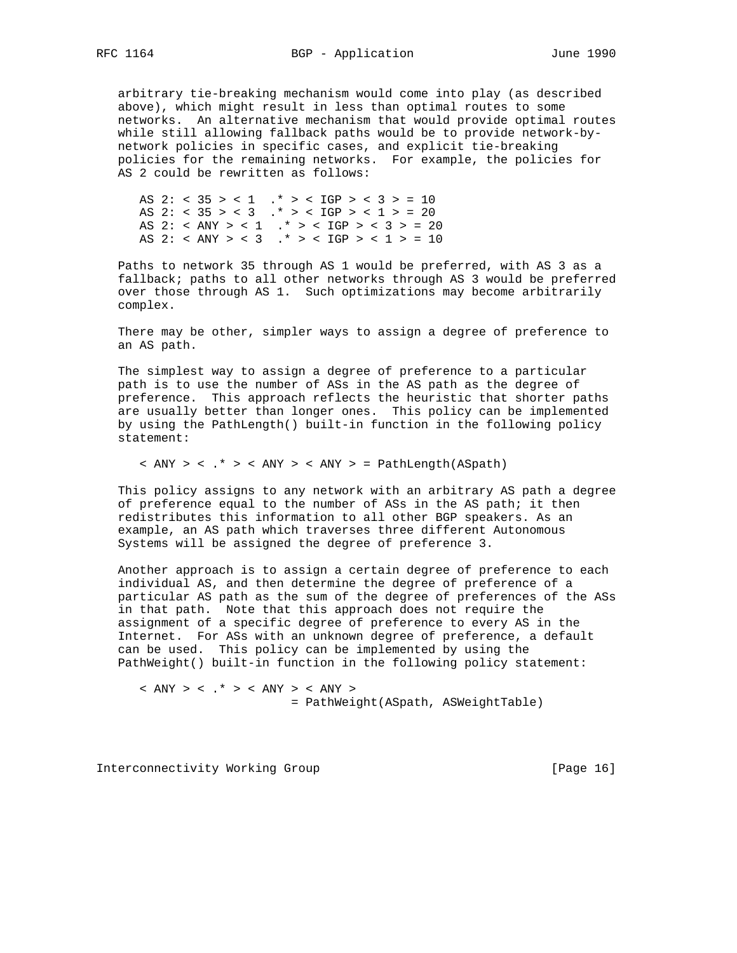arbitrary tie-breaking mechanism would come into play (as described above), which might result in less than optimal routes to some networks. An alternative mechanism that would provide optimal routes while still allowing fallback paths would be to provide network-by network policies in specific cases, and explicit tie-breaking policies for the remaining networks. For example, the policies for AS 2 could be rewritten as follows:

 AS 2: < 35 > < 1 .\* > < IGP > < 3 > = 10 AS 2: <  $35 > 3$  .\* > <  $1GP > 1 > 20$  AS 2: < ANY > < 1 .\* > < IGP > < 3 > = 20 AS 2: < ANY > < 3 .\* > < IGP > < 1 > = 10

 Paths to network 35 through AS 1 would be preferred, with AS 3 as a fallback; paths to all other networks through AS 3 would be preferred over those through AS 1. Such optimizations may become arbitrarily complex.

 There may be other, simpler ways to assign a degree of preference to an AS path.

 The simplest way to assign a degree of preference to a particular path is to use the number of ASs in the AS path as the degree of preference. This approach reflects the heuristic that shorter paths are usually better than longer ones. This policy can be implemented by using the PathLength() built-in function in the following policy statement:

 $\langle$  ANY  $>$   $\langle$  .\*  $>$   $\langle$  ANY  $>$   $\langle$  ANY  $>$  = PathLength(ASpath)

 This policy assigns to any network with an arbitrary AS path a degree of preference equal to the number of ASs in the AS path; it then redistributes this information to all other BGP speakers. As an example, an AS path which traverses three different Autonomous Systems will be assigned the degree of preference 3.

 Another approach is to assign a certain degree of preference to each individual AS, and then determine the degree of preference of a particular AS path as the sum of the degree of preferences of the ASs in that path. Note that this approach does not require the assignment of a specific degree of preference to every AS in the Internet. For ASs with an unknown degree of preference, a default can be used. This policy can be implemented by using the PathWeight() built-in function in the following policy statement:

 $\langle$  ANY  $>$   $\langle$  .\*  $>$   $\langle$  ANY  $>$   $\langle$  ANY  $>$ = PathWeight(ASpath, ASWeightTable)

Interconnectivity Working Group [Page 16]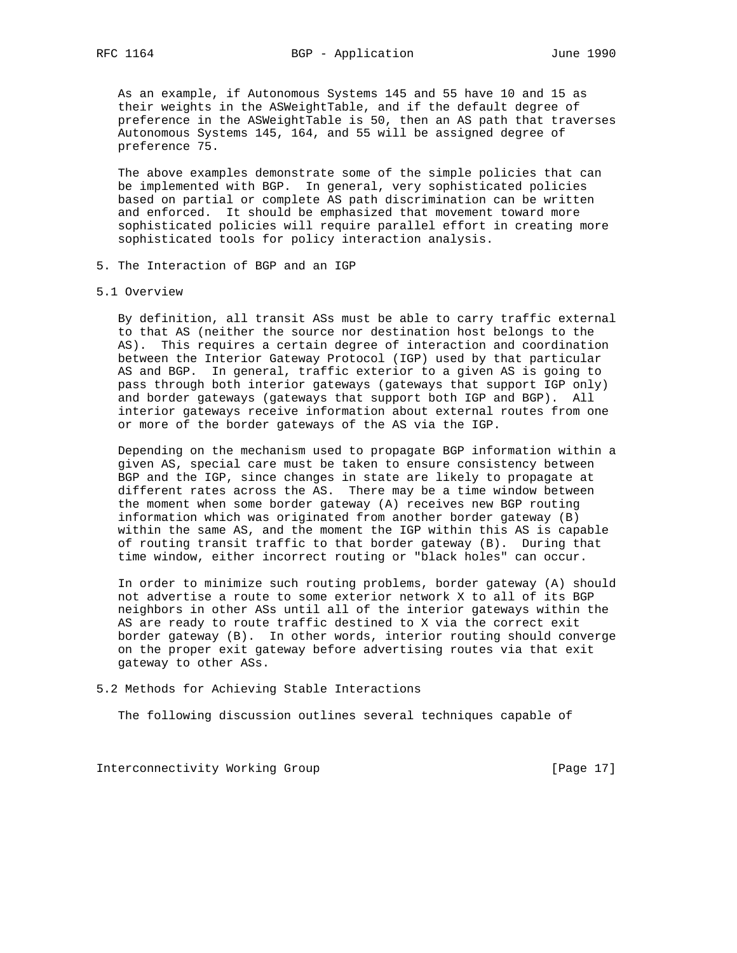As an example, if Autonomous Systems 145 and 55 have 10 and 15 as their weights in the ASWeightTable, and if the default degree of preference in the ASWeightTable is 50, then an AS path that traverses Autonomous Systems 145, 164, and 55 will be assigned degree of preference 75.

 The above examples demonstrate some of the simple policies that can be implemented with BGP. In general, very sophisticated policies based on partial or complete AS path discrimination can be written and enforced. It should be emphasized that movement toward more sophisticated policies will require parallel effort in creating more sophisticated tools for policy interaction analysis.

- 5. The Interaction of BGP and an IGP
- 5.1 Overview

 By definition, all transit ASs must be able to carry traffic external to that AS (neither the source nor destination host belongs to the AS). This requires a certain degree of interaction and coordination between the Interior Gateway Protocol (IGP) used by that particular AS and BGP. In general, traffic exterior to a given AS is going to pass through both interior gateways (gateways that support IGP only) and border gateways (gateways that support both IGP and BGP). All interior gateways receive information about external routes from one or more of the border gateways of the AS via the IGP.

 Depending on the mechanism used to propagate BGP information within a given AS, special care must be taken to ensure consistency between BGP and the IGP, since changes in state are likely to propagate at different rates across the AS. There may be a time window between the moment when some border gateway (A) receives new BGP routing information which was originated from another border gateway (B) within the same AS, and the moment the IGP within this AS is capable of routing transit traffic to that border gateway (B). During that time window, either incorrect routing or "black holes" can occur.

 In order to minimize such routing problems, border gateway (A) should not advertise a route to some exterior network X to all of its BGP neighbors in other ASs until all of the interior gateways within the AS are ready to route traffic destined to X via the correct exit border gateway (B). In other words, interior routing should converge on the proper exit gateway before advertising routes via that exit gateway to other ASs.

5.2 Methods for Achieving Stable Interactions

The following discussion outlines several techniques capable of

Interconnectivity Working Group [Page 17]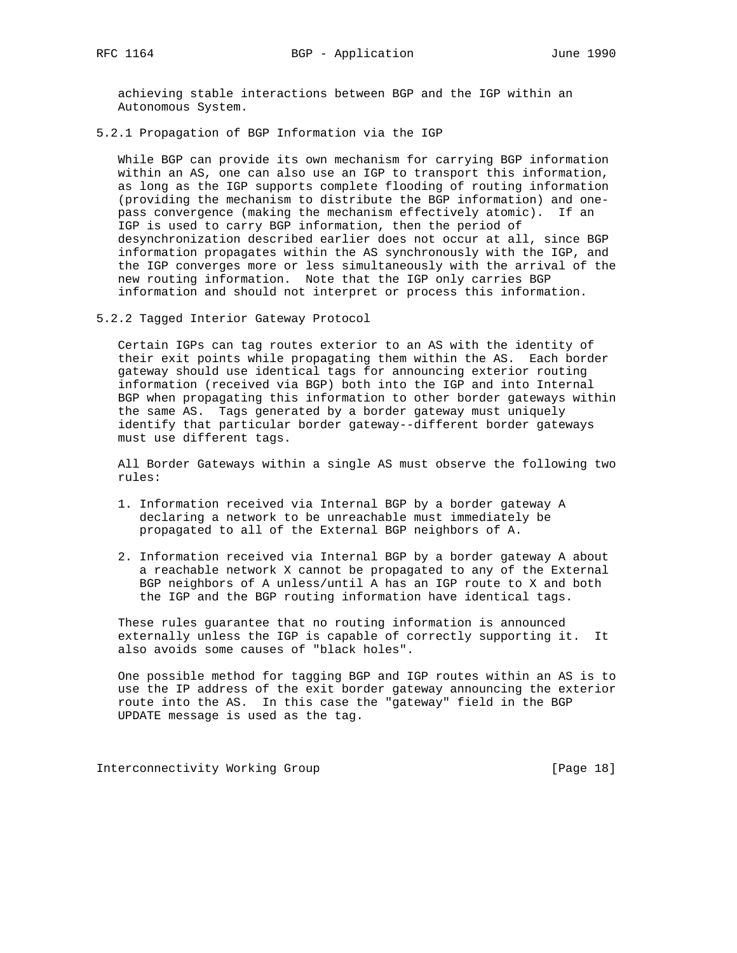achieving stable interactions between BGP and the IGP within an Autonomous System.

5.2.1 Propagation of BGP Information via the IGP

 While BGP can provide its own mechanism for carrying BGP information within an AS, one can also use an IGP to transport this information, as long as the IGP supports complete flooding of routing information (providing the mechanism to distribute the BGP information) and one pass convergence (making the mechanism effectively atomic). If an IGP is used to carry BGP information, then the period of desynchronization described earlier does not occur at all, since BGP information propagates within the AS synchronously with the IGP, and the IGP converges more or less simultaneously with the arrival of the new routing information. Note that the IGP only carries BGP information and should not interpret or process this information.

5.2.2 Tagged Interior Gateway Protocol

 Certain IGPs can tag routes exterior to an AS with the identity of their exit points while propagating them within the AS. Each border gateway should use identical tags for announcing exterior routing information (received via BGP) both into the IGP and into Internal BGP when propagating this information to other border gateways within the same AS. Tags generated by a border gateway must uniquely identify that particular border gateway--different border gateways must use different tags.

 All Border Gateways within a single AS must observe the following two rules:

- 1. Information received via Internal BGP by a border gateway A declaring a network to be unreachable must immediately be propagated to all of the External BGP neighbors of A.
- 2. Information received via Internal BGP by a border gateway A about a reachable network X cannot be propagated to any of the External BGP neighbors of A unless/until A has an IGP route to X and both the IGP and the BGP routing information have identical tags.

 These rules guarantee that no routing information is announced externally unless the IGP is capable of correctly supporting it. It also avoids some causes of "black holes".

 One possible method for tagging BGP and IGP routes within an AS is to use the IP address of the exit border gateway announcing the exterior route into the AS. In this case the "gateway" field in the BGP UPDATE message is used as the tag.

Interconnectivity Working Group [Page 18]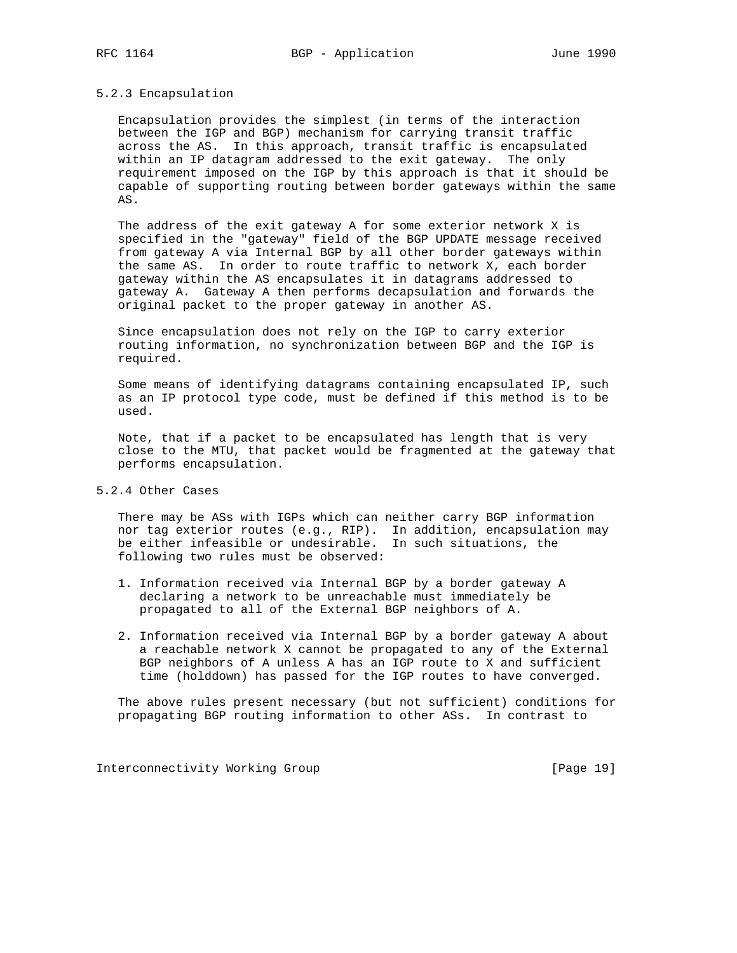### 5.2.3 Encapsulation

 Encapsulation provides the simplest (in terms of the interaction between the IGP and BGP) mechanism for carrying transit traffic across the AS. In this approach, transit traffic is encapsulated within an IP datagram addressed to the exit gateway. The only requirement imposed on the IGP by this approach is that it should be capable of supporting routing between border gateways within the same AS.

 The address of the exit gateway A for some exterior network X is specified in the "gateway" field of the BGP UPDATE message received from gateway A via Internal BGP by all other border gateways within the same AS. In order to route traffic to network X, each border gateway within the AS encapsulates it in datagrams addressed to gateway A. Gateway A then performs decapsulation and forwards the original packet to the proper gateway in another AS.

 Since encapsulation does not rely on the IGP to carry exterior routing information, no synchronization between BGP and the IGP is required.

 Some means of identifying datagrams containing encapsulated IP, such as an IP protocol type code, must be defined if this method is to be used.

 Note, that if a packet to be encapsulated has length that is very close to the MTU, that packet would be fragmented at the gateway that performs encapsulation.

#### 5.2.4 Other Cases

 There may be ASs with IGPs which can neither carry BGP information nor tag exterior routes (e.g., RIP). In addition, encapsulation may be either infeasible or undesirable. In such situations, the following two rules must be observed:

- 1. Information received via Internal BGP by a border gateway A declaring a network to be unreachable must immediately be propagated to all of the External BGP neighbors of A.
- 2. Information received via Internal BGP by a border gateway A about a reachable network X cannot be propagated to any of the External BGP neighbors of A unless A has an IGP route to X and sufficient time (holddown) has passed for the IGP routes to have converged.

 The above rules present necessary (but not sufficient) conditions for propagating BGP routing information to other ASs. In contrast to

Interconnectivity Working Group [Page 19]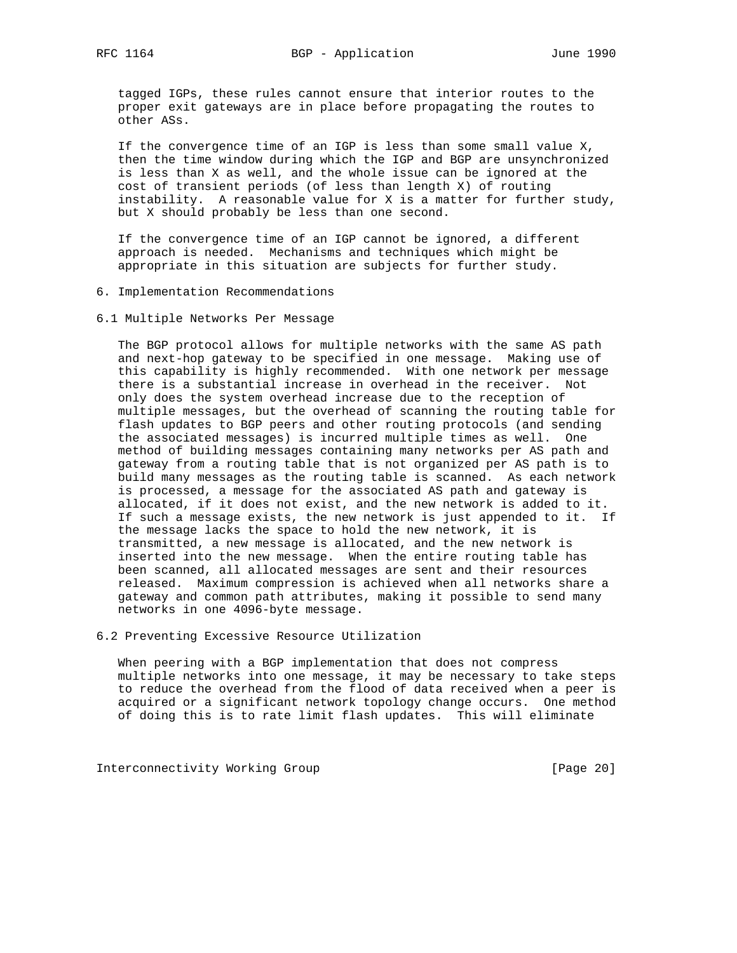tagged IGPs, these rules cannot ensure that interior routes to the proper exit gateways are in place before propagating the routes to other ASs.

 If the convergence time of an IGP is less than some small value X, then the time window during which the IGP and BGP are unsynchronized is less than X as well, and the whole issue can be ignored at the cost of transient periods (of less than length X) of routing instability. A reasonable value for X is a matter for further study, but X should probably be less than one second.

 If the convergence time of an IGP cannot be ignored, a different approach is needed. Mechanisms and techniques which might be appropriate in this situation are subjects for further study.

- 6. Implementation Recommendations
- 6.1 Multiple Networks Per Message

 The BGP protocol allows for multiple networks with the same AS path and next-hop gateway to be specified in one message. Making use of this capability is highly recommended. With one network per message there is a substantial increase in overhead in the receiver. Not only does the system overhead increase due to the reception of multiple messages, but the overhead of scanning the routing table for flash updates to BGP peers and other routing protocols (and sending the associated messages) is incurred multiple times as well. One method of building messages containing many networks per AS path and gateway from a routing table that is not organized per AS path is to build many messages as the routing table is scanned. As each network is processed, a message for the associated AS path and gateway is allocated, if it does not exist, and the new network is added to it. If such a message exists, the new network is just appended to it. If the message lacks the space to hold the new network, it is transmitted, a new message is allocated, and the new network is inserted into the new message. When the entire routing table has been scanned, all allocated messages are sent and their resources released. Maximum compression is achieved when all networks share a gateway and common path attributes, making it possible to send many networks in one 4096-byte message.

6.2 Preventing Excessive Resource Utilization

 When peering with a BGP implementation that does not compress multiple networks into one message, it may be necessary to take steps to reduce the overhead from the flood of data received when a peer is acquired or a significant network topology change occurs. One method of doing this is to rate limit flash updates. This will eliminate

Interconnectivity Working Group **[Page 20]**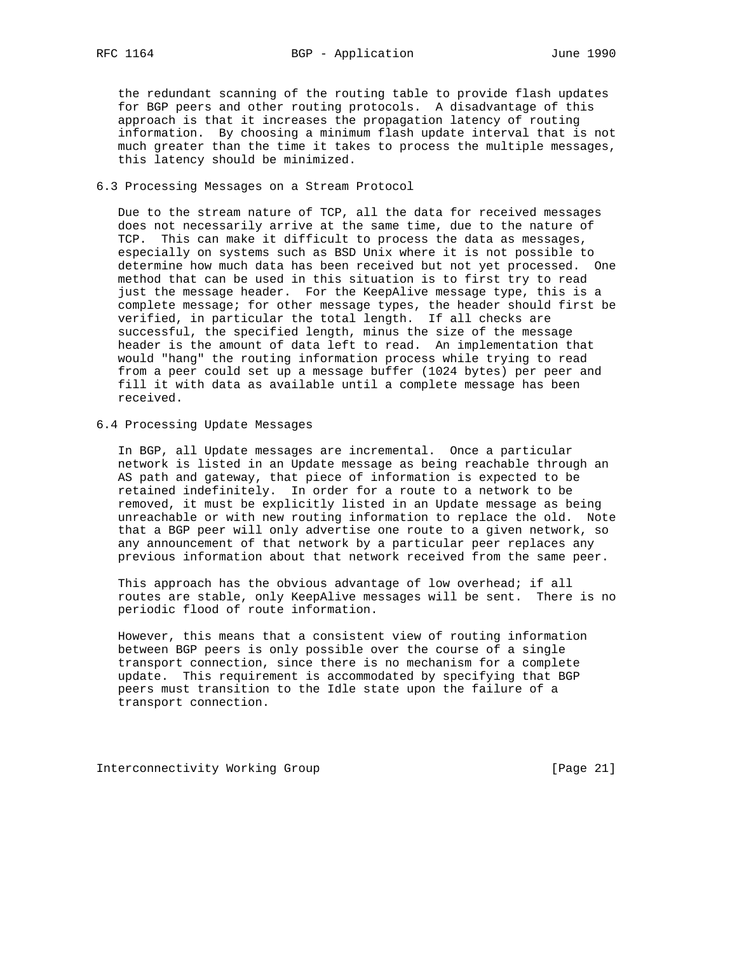the redundant scanning of the routing table to provide flash updates for BGP peers and other routing protocols. A disadvantage of this approach is that it increases the propagation latency of routing information. By choosing a minimum flash update interval that is not much greater than the time it takes to process the multiple messages, this latency should be minimized.

#### 6.3 Processing Messages on a Stream Protocol

 Due to the stream nature of TCP, all the data for received messages does not necessarily arrive at the same time, due to the nature of TCP. This can make it difficult to process the data as messages, especially on systems such as BSD Unix where it is not possible to determine how much data has been received but not yet processed. One method that can be used in this situation is to first try to read just the message header. For the KeepAlive message type, this is a complete message; for other message types, the header should first be verified, in particular the total length. If all checks are successful, the specified length, minus the size of the message header is the amount of data left to read. An implementation that would "hang" the routing information process while trying to read from a peer could set up a message buffer (1024 bytes) per peer and fill it with data as available until a complete message has been received.

#### 6.4 Processing Update Messages

 In BGP, all Update messages are incremental. Once a particular network is listed in an Update message as being reachable through an AS path and gateway, that piece of information is expected to be retained indefinitely. In order for a route to a network to be removed, it must be explicitly listed in an Update message as being unreachable or with new routing information to replace the old. Note that a BGP peer will only advertise one route to a given network, so any announcement of that network by a particular peer replaces any previous information about that network received from the same peer.

 This approach has the obvious advantage of low overhead; if all routes are stable, only KeepAlive messages will be sent. There is no periodic flood of route information.

 However, this means that a consistent view of routing information between BGP peers is only possible over the course of a single transport connection, since there is no mechanism for a complete update. This requirement is accommodated by specifying that BGP peers must transition to the Idle state upon the failure of a transport connection.

Interconnectivity Working Group [Page 21]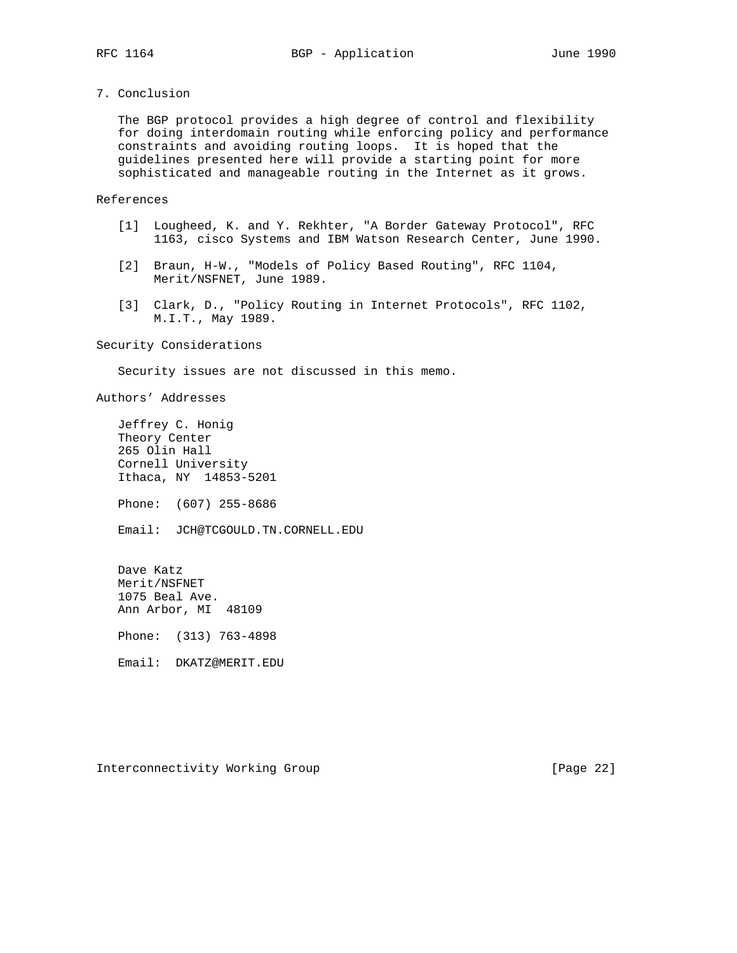7. Conclusion

 The BGP protocol provides a high degree of control and flexibility for doing interdomain routing while enforcing policy and performance constraints and avoiding routing loops. It is hoped that the guidelines presented here will provide a starting point for more sophisticated and manageable routing in the Internet as it grows.

References

- [1] Lougheed, K. and Y. Rekhter, "A Border Gateway Protocol", RFC 1163, cisco Systems and IBM Watson Research Center, June 1990.
- [2] Braun, H-W., "Models of Policy Based Routing", RFC 1104, Merit/NSFNET, June 1989.
	- [3] Clark, D., "Policy Routing in Internet Protocols", RFC 1102, M.I.T., May 1989.

Security Considerations

Security issues are not discussed in this memo.

Authors' Addresses

 Jeffrey C. Honig Theory Center 265 Olin Hall Cornell University Ithaca, NY 14853-5201

Phone: (607) 255-8686

Email: JCH@TCGOULD.TN.CORNELL.EDU

 Dave Katz Merit/NSFNET 1075 Beal Ave. Ann Arbor, MI 48109 Phone: (313) 763-4898

Email: DKATZ@MERIT.EDU